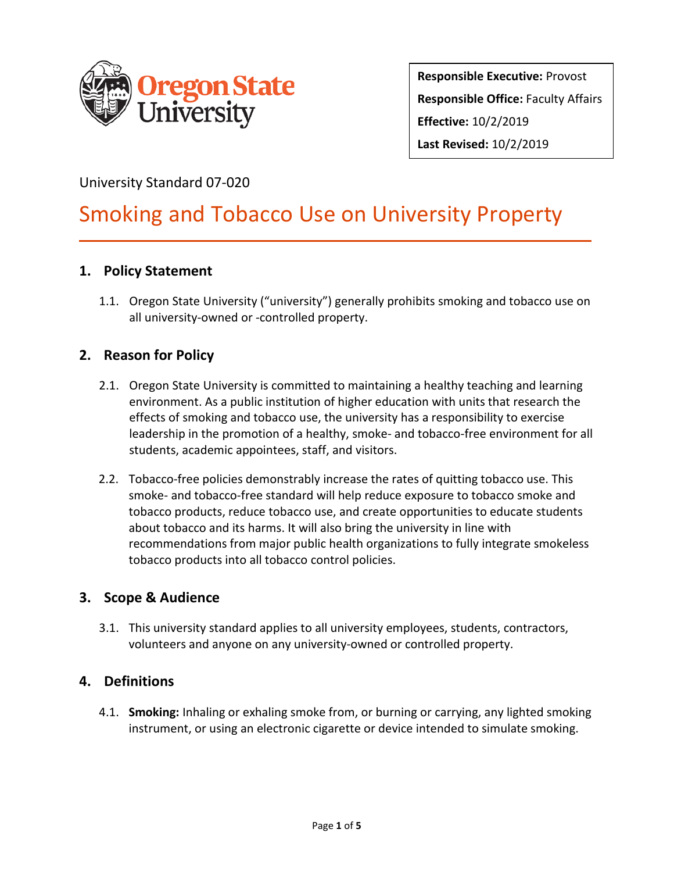

**Responsible Executive:** Provost **Responsible Office:** Faculty Affairs **Effective:** 10/2/2019 **Last Revised:** 10/2/2019

# University Standard 07-020

# Smoking and Tobacco Use on University Property

## **1. Policy Statement**

1.1. Oregon State University ("university") generally prohibits smoking and tobacco use on all university-owned or -controlled property.

## **2. Reason for Policy**

- 2.1. Oregon State University is committed to maintaining a healthy teaching and learning environment. As a public institution of higher education with units that research the effects of smoking and tobacco use, the university has a responsibility to exercise leadership in the promotion of a healthy, smoke- and tobacco-free environment for all students, academic appointees, staff, and visitors.
- 2.2. Tobacco-free policies demonstrably increase the rates of quitting tobacco use. This smoke- and tobacco-free standard will help reduce exposure to tobacco smoke and tobacco products, reduce tobacco use, and create opportunities to educate students about tobacco and its harms. It will also bring the university in line with recommendations from major public health organizations to fully integrate smokeless tobacco products into all tobacco control policies.

## **3. Scope & Audience**

3.1. This university standard applies to all university employees, students, contractors, volunteers and anyone on any university-owned or controlled property.

## **4. Definitions**

4.1. **Smoking:** Inhaling or exhaling smoke from, or burning or carrying, any lighted smoking instrument, or using an electronic cigarette or device intended to simulate smoking.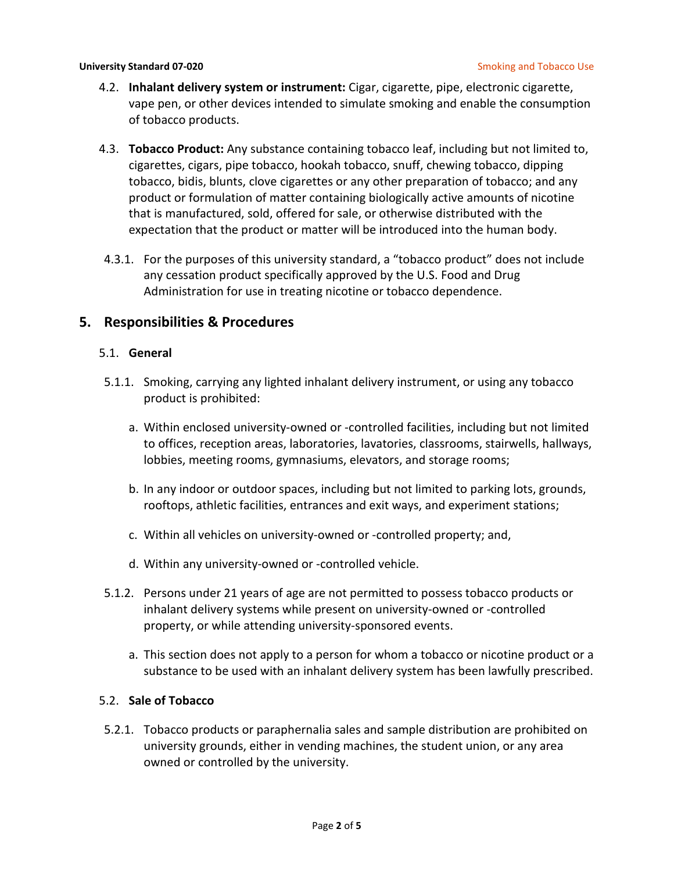#### **University Standard 07-020 Smoking and Tobacco Use Smoking and Tobacco Use**

- 4.2. **Inhalant delivery system or instrument:** Cigar, cigarette, pipe, electronic cigarette, vape pen, or other devices intended to simulate smoking and enable the consumption of tobacco products.
- 4.3. **Tobacco Product:** Any substance containing tobacco leaf, including but not limited to, cigarettes, cigars, pipe tobacco, hookah tobacco, snuff, chewing tobacco, dipping tobacco, bidis, blunts, clove cigarettes or any other preparation of tobacco; and any product or formulation of matter containing biologically active amounts of nicotine that is manufactured, sold, offered for sale, or otherwise distributed with the expectation that the product or matter will be introduced into the human body.
- 4.3.1. For the purposes of this university standard, a "tobacco product" does not include any cessation product specifically approved by the U.S. Food and Drug Administration for use in treating nicotine or tobacco dependence.

## **5. Responsibilities & Procedures**

## 5.1. **General**

- 5.1.1. Smoking, carrying any lighted inhalant delivery instrument, or using any tobacco product is prohibited:
	- a. Within enclosed university-owned or -controlled facilities, including but not limited to offices, reception areas, laboratories, lavatories, classrooms, stairwells, hallways, lobbies, meeting rooms, gymnasiums, elevators, and storage rooms;
	- b. In any indoor or outdoor spaces, including but not limited to parking lots, grounds, rooftops, athletic facilities, entrances and exit ways, and experiment stations;
	- c. Within all vehicles on university-owned or -controlled property; and,
	- d. Within any university-owned or -controlled vehicle.
- 5.1.2. Persons under 21 years of age are not permitted to possess tobacco products or inhalant delivery systems while present on university-owned or -controlled property, or while attending university-sponsored events.
	- a. This section does not apply to a person for whom a tobacco or nicotine product or a substance to be used with an inhalant delivery system has been lawfully prescribed.

## 5.2. **Sale of Tobacco**

5.2.1. Tobacco products or paraphernalia sales and sample distribution are prohibited on university grounds, either in vending machines, the student union, or any area owned or controlled by the university.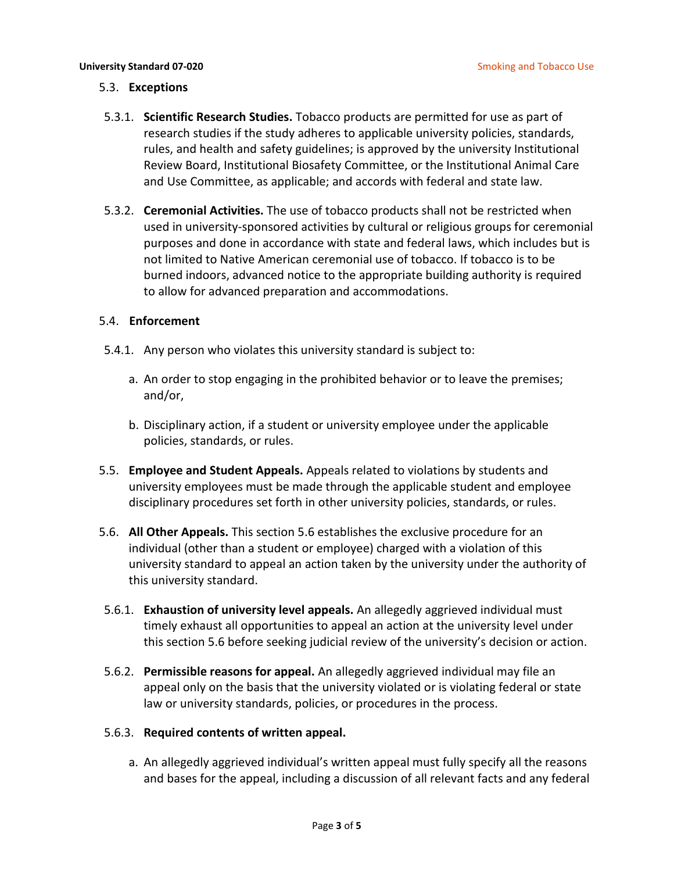#### 5.3. **Exceptions**

- 5.3.1. **Scientific Research Studies.** Tobacco products are permitted for use as part of research studies if the study adheres to applicable university policies, standards, rules, and health and safety guidelines; is approved by the university Institutional Review Board, Institutional Biosafety Committee, or the Institutional Animal Care and Use Committee, as applicable; and accords with federal and state law.
- 5.3.2. **Ceremonial Activities.** The use of tobacco products shall not be restricted when used in university-sponsored activities by cultural or religious groups for ceremonial purposes and done in accordance with state and federal laws, which includes but is not limited to Native American ceremonial use of tobacco. If tobacco is to be burned indoors, advanced notice to the appropriate building authority is required to allow for advanced preparation and accommodations.

## 5.4. **Enforcement**

- 5.4.1. Any person who violates this university standard is subject to:
	- a. An order to stop engaging in the prohibited behavior or to leave the premises; and/or,
	- b. Disciplinary action, if a student or university employee under the applicable policies, standards, or rules.
- 5.5. **Employee and Student Appeals.** Appeals related to violations by students and university employees must be made through the applicable student and employee disciplinary procedures set forth in other university policies, standards, or rules.
- 5.6. **All Other Appeals.** This section 5.6 establishes the exclusive procedure for an individual (other than a student or employee) charged with a violation of this university standard to appeal an action taken by the university under the authority of this university standard.
- 5.6.1. **Exhaustion of university level appeals.** An allegedly aggrieved individual must timely exhaust all opportunities to appeal an action at the university level under this section 5.6 before seeking judicial review of the university's decision or action.
- 5.6.2. **Permissible reasons for appeal.** An allegedly aggrieved individual may file an appeal only on the basis that the university violated or is violating federal or state law or university standards, policies, or procedures in the process.

#### 5.6.3. **Required contents of written appeal.**

a. An allegedly aggrieved individual's written appeal must fully specify all the reasons and bases for the appeal, including a discussion of all relevant facts and any federal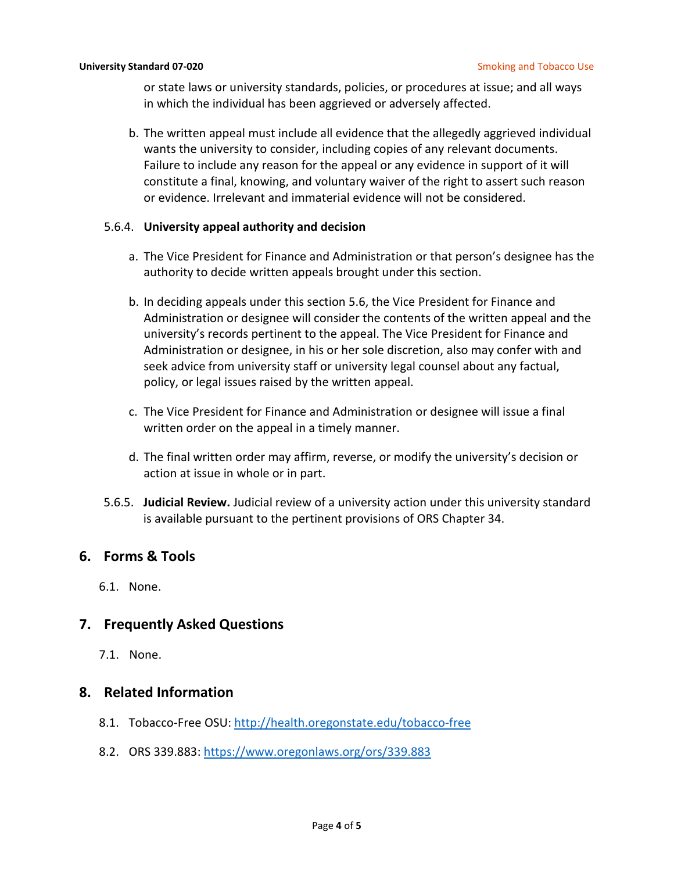or state laws or university standards, policies, or procedures at issue; and all ways in which the individual has been aggrieved or adversely affected.

b. The written appeal must include all evidence that the allegedly aggrieved individual wants the university to consider, including copies of any relevant documents. Failure to include any reason for the appeal or any evidence in support of it will constitute a final, knowing, and voluntary waiver of the right to assert such reason or evidence. Irrelevant and immaterial evidence will not be considered.

## 5.6.4. **University appeal authority and decision**

- a. The Vice President for Finance and Administration or that person's designee has the authority to decide written appeals brought under this section.
- b. In deciding appeals under this section 5.6, the Vice President for Finance and Administration or designee will consider the contents of the written appeal and the university's records pertinent to the appeal. The Vice President for Finance and Administration or designee, in his or her sole discretion, also may confer with and seek advice from university staff or university legal counsel about any factual, policy, or legal issues raised by the written appeal.
- c. The Vice President for Finance and Administration or designee will issue a final written order on the appeal in a timely manner.
- d. The final written order may affirm, reverse, or modify the university's decision or action at issue in whole or in part.
- 5.6.5. **Judicial Review.** Judicial review of a university action under this university standard is available pursuant to the pertinent provisions of ORS Chapter 34.

## **6. Forms & Tools**

6.1. None.

## **7. Frequently Asked Questions**

7.1. None.

## **8. Related Information**

- 8.1. Tobacco-Free OSU:<http://health.oregonstate.edu/tobacco-free>
- 8.2. ORS 339.883:<https://www.oregonlaws.org/ors/339.883>